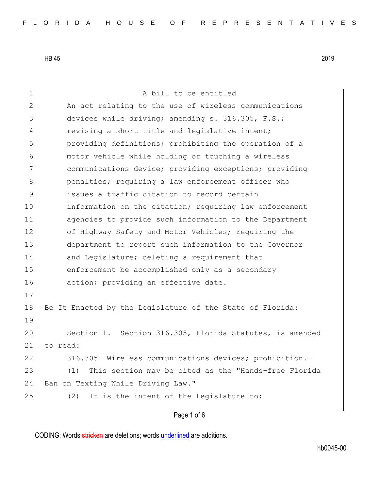1 A bill to be entitled 2 An act relating to the use of wireless communications 3 devices while driving; amending s. 316.305, F.S.; 4 revising a short title and legislative intent; 5 providing definitions; prohibiting the operation of a 6 6 motor vehicle while holding or touching a wireless 7 communications device; providing exceptions; providing 8 benalties; requiring a law enforcement officer who 9 issues a traffic citation to record certain 10 information on the citation; requiring law enforcement 11 agencies to provide such information to the Department 12 of Highway Safety and Motor Vehicles; requiring the 13 department to report such information to the Governor 14 and Legislature; deleting a requirement that 15 enforcement be accomplished only as a secondary 16 action; providing an effective date. 17 18 Be It Enacted by the Legislature of the State of Florida: 19 20 Section 1. Section 316.305, Florida Statutes, is amended 21 to read: 22 316.305 Wireless communications devices; prohibition.-23 (1) This section may be cited as the "Hands-free Florida 24 Ban on Texting While Driving Law." 25 (2) It is the intent of the Legislature to:

Page 1 of 6

CODING: Words stricken are deletions; words underlined are additions.

hb0045-00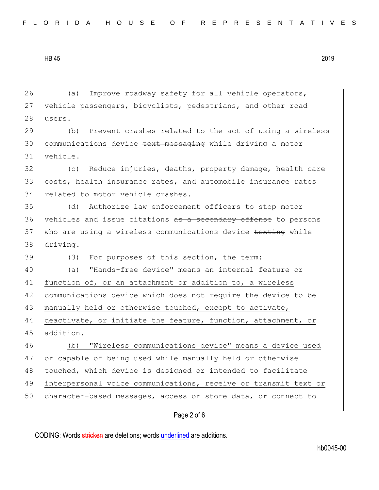| 26 | Improve roadway safety for all vehicle operators,<br>(a)        |  |  |  |  |  |  |  |  |  |  |
|----|-----------------------------------------------------------------|--|--|--|--|--|--|--|--|--|--|
| 27 | vehicle passengers, bicyclists, pedestrians, and other road     |  |  |  |  |  |  |  |  |  |  |
| 28 | users.                                                          |  |  |  |  |  |  |  |  |  |  |
| 29 | (b) Prevent crashes related to the act of using a wireless      |  |  |  |  |  |  |  |  |  |  |
| 30 | communications device text messaging while driving a motor      |  |  |  |  |  |  |  |  |  |  |
| 31 | vehicle.                                                        |  |  |  |  |  |  |  |  |  |  |
| 32 | Reduce injuries, deaths, property damage, health care<br>(C)    |  |  |  |  |  |  |  |  |  |  |
| 33 | costs, health insurance rates, and automobile insurance rates   |  |  |  |  |  |  |  |  |  |  |
| 34 | related to motor vehicle crashes.                               |  |  |  |  |  |  |  |  |  |  |
| 35 | Authorize law enforcement officers to stop motor<br>(d)         |  |  |  |  |  |  |  |  |  |  |
| 36 | vehicles and issue citations as a secondary offense to persons  |  |  |  |  |  |  |  |  |  |  |
| 37 | who are using a wireless communications device texting while    |  |  |  |  |  |  |  |  |  |  |
| 38 | driving.                                                        |  |  |  |  |  |  |  |  |  |  |
| 39 | For purposes of this section, the term:<br>(3)                  |  |  |  |  |  |  |  |  |  |  |
| 40 | "Hands-free device" means an internal feature or<br>(a)         |  |  |  |  |  |  |  |  |  |  |
|    | function of, or an attachment or addition to, a wireless        |  |  |  |  |  |  |  |  |  |  |
| 41 |                                                                 |  |  |  |  |  |  |  |  |  |  |
| 42 | communications device which does not require the device to be   |  |  |  |  |  |  |  |  |  |  |
| 43 | manually held or otherwise touched, except to activate,         |  |  |  |  |  |  |  |  |  |  |
| 44 | deactivate, or initiate the feature, function, attachment, or   |  |  |  |  |  |  |  |  |  |  |
| 45 | addition.                                                       |  |  |  |  |  |  |  |  |  |  |
| 46 | "Wireless communications device" means a device used<br>(b)     |  |  |  |  |  |  |  |  |  |  |
| 47 | or capable of being used while manually held or otherwise       |  |  |  |  |  |  |  |  |  |  |
| 48 | touched, which device is designed or intended to facilitate     |  |  |  |  |  |  |  |  |  |  |
| 49 | interpersonal voice communications, receive or transmit text or |  |  |  |  |  |  |  |  |  |  |
| 50 | character-based messages, access or store data, or connect to   |  |  |  |  |  |  |  |  |  |  |

## Page 2 of 6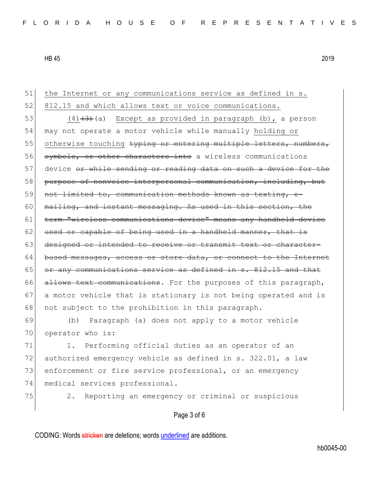| 51 | the Internet or any communications service as defined in s.      |
|----|------------------------------------------------------------------|
| 52 | 812.15 and which allows text or voice communications.            |
| 53 | $(4)$ $(3)$ (a) Except as provided in paragraph (b), a person    |
| 54 | may not operate a motor vehicle while manually holding or        |
| 55 | otherwise touching typing or entering multiple letters, numbers, |
| 56 | symbols, or other characters into a wireless communications      |
| 57 | device or while sending or reading data on such a device for the |
| 58 | purpose of nonvoice interpersonal communication, including, but  |
| 59 | not limited to, communication methods known as texting, e-       |
| 60 | mailing, and instant messaging. As used in this section, the     |
| 61 | term "wireless communications device" means any handheld device  |
| 62 | used or capable of being used in a handheld manner, that is      |
| 63 | designed or intended to receive or transmit text or character-   |
| 64 | based messages, access or store data, or connect to the Internet |
| 65 | or any communications service as defined in s. 812.15 and that   |
| 66 | allows text communications. For the purposes of this paragraph,  |
| 67 | a motor vehicle that is stationary is not being operated and is  |
| 68 | not subject to the prohibition in this paragraph.                |
| 69 | (b) Paragraph (a) does not apply to a motor vehicle              |
| 70 | operator who is:                                                 |
| 71 | Performing official duties as an operator of an<br>1.            |
| 72 | authorized emergency vehicle as defined in s. 322.01, a law      |
| 73 | enforcement or fire service professional, or an emergency        |
| 74 | medical services professional.                                   |
| 75 | Reporting an emergency or criminal or suspicious<br>2.           |
|    | Page 3 of 6                                                      |
|    |                                                                  |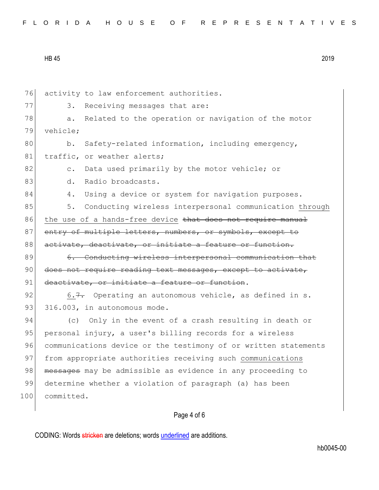| FLORIDA HOUSE OF REPRESENTATIVES |  |
|----------------------------------|--|
|----------------------------------|--|

76 activity to law enforcement authorities. 77 3. Receiving messages that are: 78 a. Related to the operation or navigation of the motor 79 vehicle; 80 b. Safety-related information, including emergency, 81 traffic, or weather alerts; 82 c. Data used primarily by the motor vehicle; or 83 d. Radio broadcasts. 84 4. Using a device or system for navigation purposes. 85 5. Conducting wireless interpersonal communication through 86 the use of a hands-free device that does not require manual 87 entry of multiple letters, numbers, or symbols, except to 88 activate, deactivate, or initiate a feature or function. 89 6. Conducting wireless interpersonal communication that 90 does not require reading text messages, except to activate, 91 deactivate, or initiate a feature or function. 92 6.7. Operating an autonomous vehicle, as defined in s. 93  $316.003$ , in autonomous mode. 94 (c) Only in the event of a crash resulting in death or 95 personal injury, a user's billing records for a wireless 96 communications device or the testimony of or written statements 97 from appropriate authorities receiving such communications 98 messages may be admissible as evidence in any proceeding to 99 determine whether a violation of paragraph (a) has been 100 committed.

## Page 4 of 6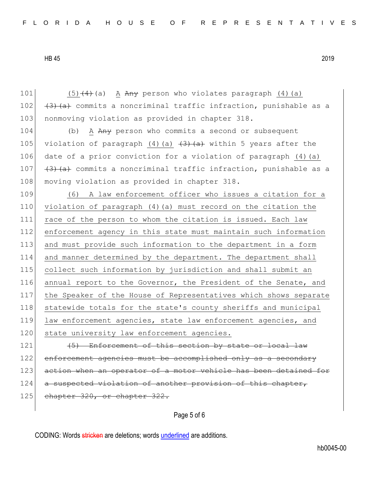101  $(5)(4)$  (a) A Any person who violates paragraph (4)(a) 102  $(3)$  (a) commits a noncriminal traffic infraction, punishable as a 103 nonmoving violation as provided in chapter 318. 104 (b) A Any person who commits a second or subsequent 105 violation of paragraph (4)(a)  $\left(3\right)$   $\left(4\right)$  within 5 years after the 106 date of a prior conviction for a violation of paragraph (4)(a) 107  $(3)$   $(4)$  commits a noncriminal traffic infraction, punishable as a 108 moving violation as provided in chapter 318. 109 (6) A law enforcement officer who issues a citation for a 110 violation of paragraph (4)(a) must record on the citation the 111 race of the person to whom the citation is issued. Each law 112 enforcement agency in this state must maintain such information 113 and must provide such information to the department in a form 114 and manner determined by the department. The department shall 115 collect such information by jurisdiction and shall submit an 116 annual report to the Governor, the President of the Senate, and 117 the Speaker of the House of Representatives which shows separate 118 statewide totals for the state's county sheriffs and municipal 119 law enforcement agencies, state law enforcement agencies, and 120 state university law enforcement agencies.  $121$  (5) Enforcement of this section by state or local law 122 enforcement agencies must be accomplished only as a secondary 123 action when an operator of a motor vehicle has been detained for 124 a suspected violation of another provision of this chapter, 125 chapter 320, or chapter 322.

Page 5 of 6